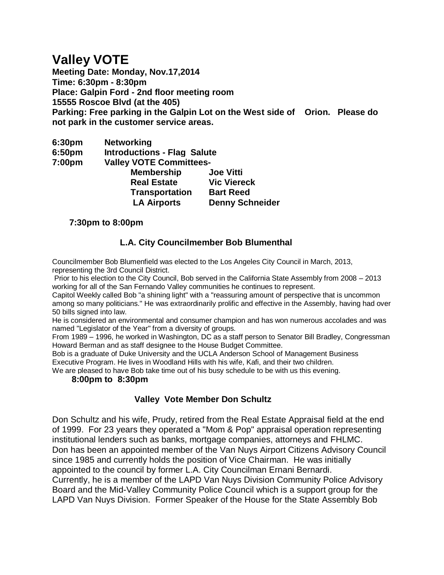# **Valley VOTE**

**Meeting Date: Monday, Nov.17,2014 Time: 6:30pm - 8:30pm Place: Galpin Ford - 2nd floor meeting room 15555 Roscoe Blvd (at the 405) Parking: Free parking in the Galpin Lot on the West side of Orion. Please do not park in the customer service areas.**

- **6:30pm Networking**
- **6:50pm Introductions - Flag Salute**

**7:00pm Valley VOTE Committees-** 

| 7. JUUNII | VAIICY VUIL UUIIIIIIIIIICCS- |                        |
|-----------|------------------------------|------------------------|
|           | <b>Membership</b>            | <b>Joe Vitti</b>       |
|           | <b>Real Estate</b>           | <b>Vic Viereck</b>     |
|           | <b>Transportation</b>        | <b>Bart Reed</b>       |
|           | <b>LA Airports</b>           | <b>Denny Schneider</b> |

## **7:30pm to 8:00pm**

## **L.A. City Councilmember Bob Blumenthal**

Councilmember Bob Blumenfield was elected to the Los Angeles City Council in March, 2013, representing the 3rd Council District.

Prior to his election to the City Council, Bob served in the California State Assembly from 2008 – 2013 working for all of the San Fernando Valley communities he continues to represent.

Capitol Weekly called Bob "a shining light" with a "reassuring amount of perspective that is uncommon among so many politicians." He was extraordinarily prolific and effective in the Assembly, having had over 50 bills signed into law.

He is considered an environmental and consumer champion and has won numerous accolades and was named "Legislator of the Year" from a diversity of groups.

From 1989 – 1996, he worked in Washington, DC as a staff person to Senator Bill Bradley, Congressman Howard Berman and as staff designee to the House Budget Committee.

Bob is a graduate of Duke University and the UCLA Anderson School of Management Business Executive Program. He lives in Woodland Hills with his wife, Kafi, and their two children.

We are pleased to have Bob take time out of his busy schedule to be with us this evening.

 **8:00pm to 8:30pm**

## **Valley Vote Member Don Schultz**

Don Schultz and his wife, Prudy, retired from the Real Estate Appraisal field at the end of 1999. For 23 years they operated a "Mom & Pop" appraisal operation representing institutional lenders such as banks, mortgage companies, attorneys and FHLMC. Don has been an appointed member of the Van Nuys Airport Citizens Advisory Council since 1985 and currently holds the position of Vice Chairman. He was initially appointed to the council by former L.A. City Councilman Ernani Bernardi.

Currently, he is a member of the LAPD Van Nuys Division Community Police Advisory Board and the Mid-Valley Community Police Council which is a support group for the LAPD Van Nuys Division. Former Speaker of the House for the State Assembly Bob